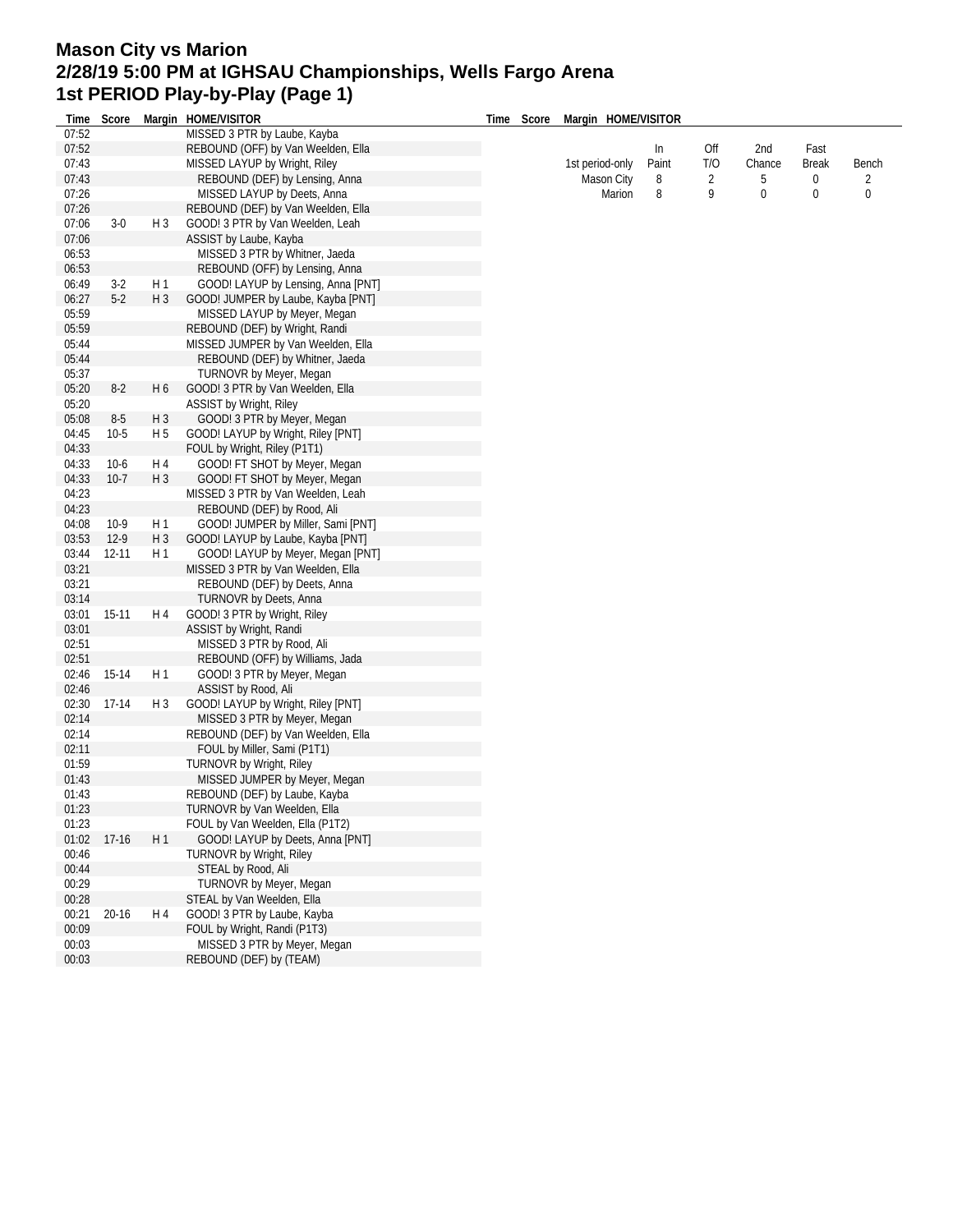## **Mason City vs Marion 2/28/19 5:00 PM at IGHSAU Championships, Wells Fargo Arena 1st PERIOD Play-by-Play (Page 1)**

| Time  | Score     |                | Margin HOME/VISITOR                | Time | Score           | Margin HOME/VISITOR |               |                  |                                  |            |   |
|-------|-----------|----------------|------------------------------------|------|-----------------|---------------------|---------------|------------------|----------------------------------|------------|---|
| 07:52 |           |                | MISSED 3 PTR by Laube, Kayba       |      |                 |                     |               |                  |                                  |            |   |
| 07:52 |           |                | REBOUND (OFF) by Van Weelden, Ella |      |                 |                     | In            | Off              | 2nd                              | Fast       |   |
| 07:43 |           |                | MISSED LAYUP by Wright, Riley      |      | 1st period-only | Paint<br>8          | T/O<br>2<br>9 | Chance<br>5<br>0 | <b>Break</b><br>0<br>$\mathbf 0$ | Bench      |   |
| 07:43 |           |                | REBOUND (DEF) by Lensing, Anna     |      |                 |                     |               |                  |                                  | Mason City | 2 |
| 07:26 |           |                | MISSED LAYUP by Deets, Anna        |      |                 | Marion              |               |                  |                                  | 8          | 0 |
| 07:26 |           |                | REBOUND (DEF) by Van Weelden, Ella |      |                 |                     |               |                  |                                  |            |   |
| 07:06 | $3-0$     | $H_3$          | GOOD! 3 PTR by Van Weelden, Leah   |      |                 |                     |               |                  |                                  |            |   |
| 07:06 |           |                | ASSIST by Laube, Kayba             |      |                 |                     |               |                  |                                  |            |   |
| 06:53 |           |                | MISSED 3 PTR by Whitner, Jaeda     |      |                 |                     |               |                  |                                  |            |   |
| 06:53 |           |                | REBOUND (OFF) by Lensing, Anna     |      |                 |                     |               |                  |                                  |            |   |
| 06:49 | $3-2$     | H 1            | GOOD! LAYUP by Lensing, Anna [PNT] |      |                 |                     |               |                  |                                  |            |   |
| 06:27 | $5-2$     | $H_3$          | GOOD! JUMPER by Laube, Kayba [PNT] |      |                 |                     |               |                  |                                  |            |   |
|       |           |                |                                    |      |                 |                     |               |                  |                                  |            |   |
| 05:59 |           |                | MISSED LAYUP by Meyer, Megan       |      |                 |                     |               |                  |                                  |            |   |
| 05:59 |           |                | REBOUND (DEF) by Wright, Randi     |      |                 |                     |               |                  |                                  |            |   |
| 05:44 |           |                | MISSED JUMPER by Van Weelden, Ella |      |                 |                     |               |                  |                                  |            |   |
| 05:44 |           |                | REBOUND (DEF) by Whitner, Jaeda    |      |                 |                     |               |                  |                                  |            |   |
| 05:37 |           |                | TURNOVR by Meyer, Megan            |      |                 |                     |               |                  |                                  |            |   |
| 05:20 | $8-2$     | H <sub>6</sub> | GOOD! 3 PTR by Van Weelden, Ella   |      |                 |                     |               |                  |                                  |            |   |
| 05:20 |           |                | ASSIST by Wright, Riley            |      |                 |                     |               |                  |                                  |            |   |
| 05:08 | $8-5$     | $H_3$          | GOOD! 3 PTR by Meyer, Megan        |      |                 |                     |               |                  |                                  |            |   |
| 04:45 | $10-5$    | H 5            | GOOD! LAYUP by Wright, Riley [PNT] |      |                 |                     |               |                  |                                  |            |   |
| 04:33 |           |                | FOUL by Wright, Riley (P1T1)       |      |                 |                     |               |                  |                                  |            |   |
| 04:33 | $10-6$    | H 4            | GOOD! FT SHOT by Meyer, Megan      |      |                 |                     |               |                  |                                  |            |   |
| 04:33 | $10-7$    | $H_3$          | GOOD! FT SHOT by Meyer, Megan      |      |                 |                     |               |                  |                                  |            |   |
| 04:23 |           |                | MISSED 3 PTR by Van Weelden, Leah  |      |                 |                     |               |                  |                                  |            |   |
| 04:23 |           |                | REBOUND (DEF) by Rood, Ali         |      |                 |                     |               |                  |                                  |            |   |
| 04:08 | $10-9$    | H 1            | GOOD! JUMPER by Miller, Sami [PNT] |      |                 |                     |               |                  |                                  |            |   |
| 03:53 | $12-9$    | $H_3$          | GOOD! LAYUP by Laube, Kayba [PNT]  |      |                 |                     |               |                  |                                  |            |   |
| 03:44 | 12-11     | H <sub>1</sub> | GOOD! LAYUP by Meyer, Megan [PNT]  |      |                 |                     |               |                  |                                  |            |   |
|       |           |                |                                    |      |                 |                     |               |                  |                                  |            |   |
| 03:21 |           |                | MISSED 3 PTR by Van Weelden, Ella  |      |                 |                     |               |                  |                                  |            |   |
| 03:21 |           |                | REBOUND (DEF) by Deets, Anna       |      |                 |                     |               |                  |                                  |            |   |
| 03:14 |           |                | TURNOVR by Deets, Anna             |      |                 |                     |               |                  |                                  |            |   |
| 03:01 | $15-11$   | H 4            | GOOD! 3 PTR by Wright, Riley       |      |                 |                     |               |                  |                                  |            |   |
| 03:01 |           |                | ASSIST by Wright, Randi            |      |                 |                     |               |                  |                                  |            |   |
| 02:51 |           |                | MISSED 3 PTR by Rood, Ali          |      |                 |                     |               |                  |                                  |            |   |
| 02:51 |           |                | REBOUND (OFF) by Williams, Jada    |      |                 |                     |               |                  |                                  |            |   |
| 02:46 | 15-14     | H 1            | GOOD! 3 PTR by Meyer, Megan        |      |                 |                     |               |                  |                                  |            |   |
| 02:46 |           |                | ASSIST by Rood, Ali                |      |                 |                     |               |                  |                                  |            |   |
| 02:30 | $17-14$   | H <sub>3</sub> | GOOD! LAYUP by Wright, Riley [PNT] |      |                 |                     |               |                  |                                  |            |   |
| 02:14 |           |                | MISSED 3 PTR by Meyer, Megan       |      |                 |                     |               |                  |                                  |            |   |
| 02:14 |           |                | REBOUND (DEF) by Van Weelden, Ella |      |                 |                     |               |                  |                                  |            |   |
| 02:11 |           |                | FOUL by Miller, Sami (P1T1)        |      |                 |                     |               |                  |                                  |            |   |
| 01:59 |           |                | <b>TURNOVR by Wright, Riley</b>    |      |                 |                     |               |                  |                                  |            |   |
| 01:43 |           |                | MISSED JUMPER by Meyer, Megan      |      |                 |                     |               |                  |                                  |            |   |
| 01:43 |           |                | REBOUND (DEF) by Laube, Kayba      |      |                 |                     |               |                  |                                  |            |   |
| 01:23 |           |                | TURNOVR by Van Weelden, Ella       |      |                 |                     |               |                  |                                  |            |   |
| 01:23 |           |                | FOUL by Van Weelden, Ella (P1T2)   |      |                 |                     |               |                  |                                  |            |   |
|       | $17-16$   |                |                                    |      |                 |                     |               |                  |                                  |            |   |
| 01:02 |           | H1             | GOOD! LAYUP by Deets, Anna [PNT]   |      |                 |                     |               |                  |                                  |            |   |
| 00:46 |           |                | TURNOVR by Wright, Riley           |      |                 |                     |               |                  |                                  |            |   |
| 00:44 |           |                | STEAL by Rood, Ali                 |      |                 |                     |               |                  |                                  |            |   |
| 00:29 |           |                | TURNOVR by Meyer, Megan            |      |                 |                     |               |                  |                                  |            |   |
| 00:28 |           |                | STEAL by Van Weelden, Ella         |      |                 |                     |               |                  |                                  |            |   |
| 00:21 | $20 - 16$ | H 4            | GOOD! 3 PTR by Laube, Kayba        |      |                 |                     |               |                  |                                  |            |   |
| 00:09 |           |                | FOUL by Wright, Randi (P1T3)       |      |                 |                     |               |                  |                                  |            |   |
| 00:03 |           |                | MISSED 3 PTR by Meyer, Megan       |      |                 |                     |               |                  |                                  |            |   |
| 00:03 |           |                | REBOUND (DEF) by (TEAM)            |      |                 |                     |               |                  |                                  |            |   |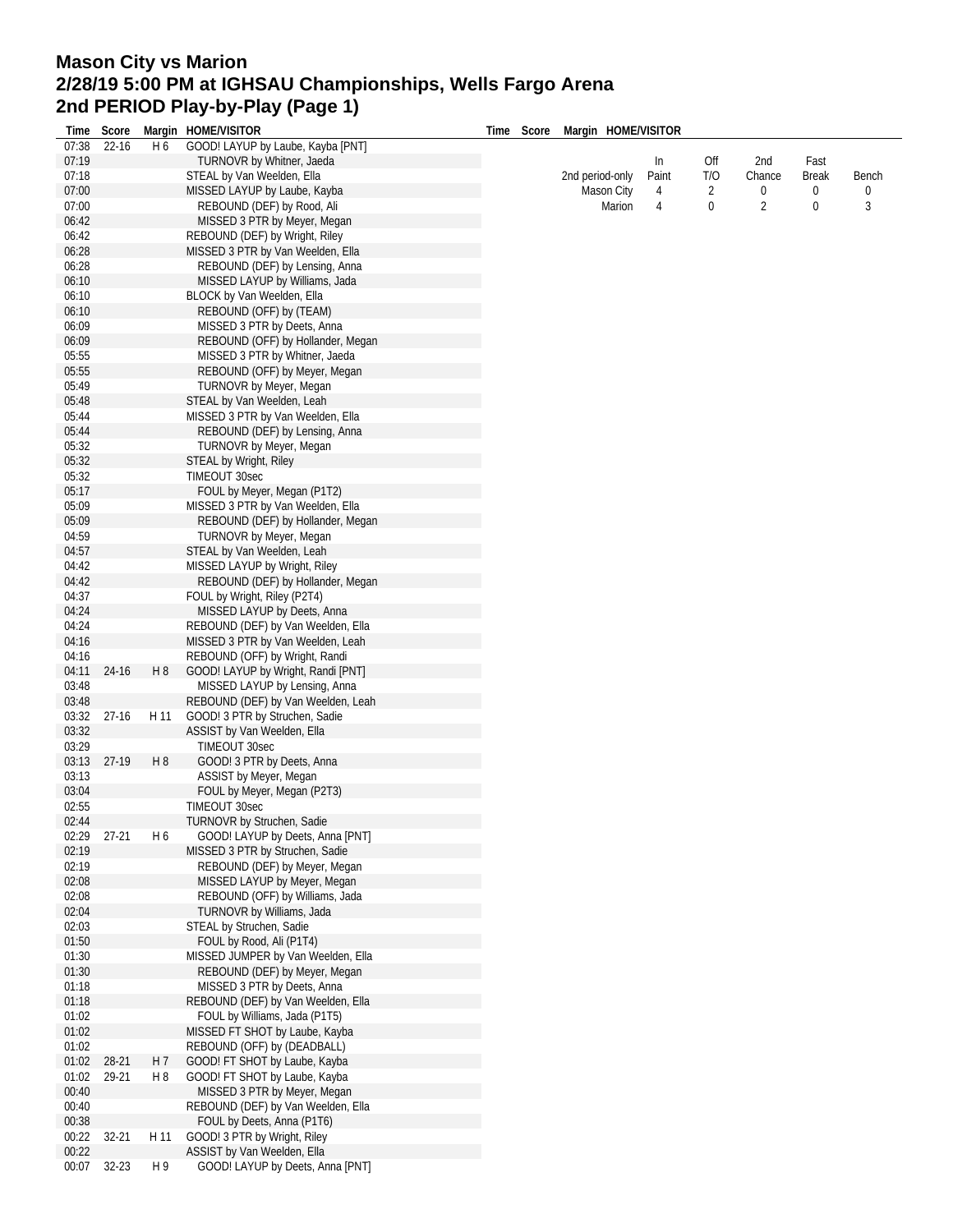## **Mason City vs Marion 2/28/19 5:00 PM at IGHSAU Championships, Wells Fargo Arena 2nd PERIOD Play-by-Play (Page 1)**

| Time  | Score     |                | Margin HOME/VISITOR                                              | Time | Score | Margin HOME/VISITOR |       |     |                |              |       |
|-------|-----------|----------------|------------------------------------------------------------------|------|-------|---------------------|-------|-----|----------------|--------------|-------|
| 07:38 | 22-16     | H <sub>6</sub> | GOOD! LAYUP by Laube, Kayba [PNT]                                |      |       |                     |       |     |                |              |       |
| 07:19 |           |                | TURNOVR by Whitner, Jaeda                                        |      |       |                     | In    | Off | 2nd            | Fast         |       |
| 07:18 |           |                | STEAL by Van Weelden, Ella                                       |      |       | 2nd period-only     | Paint | T/O | Chance         | <b>Break</b> | Bench |
| 07:00 |           |                | MISSED LAYUP by Laube, Kayba                                     |      |       | Mason City          | 4     | 2   | 0              | 0            | 0     |
| 07:00 |           |                | REBOUND (DEF) by Rood, Ali                                       |      |       | Marion              | 4     | 0   | $\overline{2}$ | 0            | 3     |
| 06:42 |           |                | MISSED 3 PTR by Meyer, Megan                                     |      |       |                     |       |     |                |              |       |
| 06:42 |           |                | REBOUND (DEF) by Wright, Riley                                   |      |       |                     |       |     |                |              |       |
| 06:28 |           |                | MISSED 3 PTR by Van Weelden, Ella                                |      |       |                     |       |     |                |              |       |
| 06:28 |           |                | REBOUND (DEF) by Lensing, Anna                                   |      |       |                     |       |     |                |              |       |
| 06:10 |           |                | MISSED LAYUP by Williams, Jada                                   |      |       |                     |       |     |                |              |       |
|       |           |                |                                                                  |      |       |                     |       |     |                |              |       |
| 06:10 |           |                | BLOCK by Van Weelden, Ella                                       |      |       |                     |       |     |                |              |       |
| 06:10 |           |                | REBOUND (OFF) by (TEAM)                                          |      |       |                     |       |     |                |              |       |
| 06:09 |           |                | MISSED 3 PTR by Deets, Anna                                      |      |       |                     |       |     |                |              |       |
| 06:09 |           |                | REBOUND (OFF) by Hollander, Megan                                |      |       |                     |       |     |                |              |       |
| 05:55 |           |                | MISSED 3 PTR by Whitner, Jaeda                                   |      |       |                     |       |     |                |              |       |
| 05:55 |           |                | REBOUND (OFF) by Meyer, Megan                                    |      |       |                     |       |     |                |              |       |
| 05:49 |           |                | TURNOVR by Meyer, Megan                                          |      |       |                     |       |     |                |              |       |
| 05:48 |           |                | STEAL by Van Weelden, Leah                                       |      |       |                     |       |     |                |              |       |
| 05:44 |           |                | MISSED 3 PTR by Van Weelden, Ella                                |      |       |                     |       |     |                |              |       |
| 05:44 |           |                | REBOUND (DEF) by Lensing, Anna                                   |      |       |                     |       |     |                |              |       |
| 05:32 |           |                | TURNOVR by Meyer, Megan                                          |      |       |                     |       |     |                |              |       |
| 05:32 |           |                | STEAL by Wright, Riley                                           |      |       |                     |       |     |                |              |       |
| 05:32 |           |                | TIMEOUT 30sec                                                    |      |       |                     |       |     |                |              |       |
| 05:17 |           |                | FOUL by Meyer, Megan (P1T2)                                      |      |       |                     |       |     |                |              |       |
| 05:09 |           |                | MISSED 3 PTR by Van Weelden, Ella                                |      |       |                     |       |     |                |              |       |
| 05:09 |           |                | REBOUND (DEF) by Hollander, Megan                                |      |       |                     |       |     |                |              |       |
| 04:59 |           |                | TURNOVR by Meyer, Megan                                          |      |       |                     |       |     |                |              |       |
|       |           |                |                                                                  |      |       |                     |       |     |                |              |       |
| 04:57 |           |                | STEAL by Van Weelden, Leah                                       |      |       |                     |       |     |                |              |       |
| 04:42 |           |                | MISSED LAYUP by Wright, Riley                                    |      |       |                     |       |     |                |              |       |
| 04:42 |           |                | REBOUND (DEF) by Hollander, Megan                                |      |       |                     |       |     |                |              |       |
| 04:37 |           |                | FOUL by Wright, Riley (P2T4)                                     |      |       |                     |       |     |                |              |       |
| 04:24 |           |                | MISSED LAYUP by Deets, Anna                                      |      |       |                     |       |     |                |              |       |
| 04:24 |           |                | REBOUND (DEF) by Van Weelden, Ella                               |      |       |                     |       |     |                |              |       |
| 04:16 |           |                | MISSED 3 PTR by Van Weelden, Leah                                |      |       |                     |       |     |                |              |       |
| 04:16 |           |                | REBOUND (OFF) by Wright, Randi                                   |      |       |                     |       |     |                |              |       |
| 04:11 | 24-16     | H 8            | GOOD! LAYUP by Wright, Randi [PNT]                               |      |       |                     |       |     |                |              |       |
| 03:48 |           |                | MISSED LAYUP by Lensing, Anna                                    |      |       |                     |       |     |                |              |       |
| 03:48 |           |                | REBOUND (DEF) by Van Weelden, Leah                               |      |       |                     |       |     |                |              |       |
| 03:32 | $27-16$   | H 11           | GOOD! 3 PTR by Struchen, Sadie                                   |      |       |                     |       |     |                |              |       |
| 03:32 |           |                | ASSIST by Van Weelden, Ella                                      |      |       |                     |       |     |                |              |       |
| 03:29 |           |                | TIMEOUT 30sec                                                    |      |       |                     |       |     |                |              |       |
| 03:13 | 27-19     | H <sub>8</sub> | GOOD! 3 PTR by Deets, Anna                                       |      |       |                     |       |     |                |              |       |
| 03:13 |           |                | ASSIST by Meyer, Megan                                           |      |       |                     |       |     |                |              |       |
| 03:04 |           |                | FOUL by Meyer, Megan (P2T3)                                      |      |       |                     |       |     |                |              |       |
| 02:55 |           |                | TIMEOUT 30sec                                                    |      |       |                     |       |     |                |              |       |
| 02:44 |           |                | TURNOVR by Struchen, Sadie                                       |      |       |                     |       |     |                |              |       |
| 02:29 | $27 - 21$ | H 6            | GOOD! LAYUP by Deets, Anna [PNT]                                 |      |       |                     |       |     |                |              |       |
| 02:19 |           |                |                                                                  |      |       |                     |       |     |                |              |       |
| 02:19 |           |                | MISSED 3 PTR by Struchen, Sadie<br>REBOUND (DEF) by Meyer, Megan |      |       |                     |       |     |                |              |       |
|       |           |                |                                                                  |      |       |                     |       |     |                |              |       |
| 02:08 |           |                | MISSED LAYUP by Meyer, Megan                                     |      |       |                     |       |     |                |              |       |
| 02:08 |           |                | REBOUND (OFF) by Williams, Jada                                  |      |       |                     |       |     |                |              |       |
| 02:04 |           |                | TURNOVR by Williams, Jada                                        |      |       |                     |       |     |                |              |       |
| 02:03 |           |                | STEAL by Struchen, Sadie                                         |      |       |                     |       |     |                |              |       |
| 01:50 |           |                | FOUL by Rood, Ali (P1T4)                                         |      |       |                     |       |     |                |              |       |
| 01:30 |           |                | MISSED JUMPER by Van Weelden, Ella                               |      |       |                     |       |     |                |              |       |
| 01:30 |           |                | REBOUND (DEF) by Meyer, Megan                                    |      |       |                     |       |     |                |              |       |
| 01:18 |           |                | MISSED 3 PTR by Deets, Anna                                      |      |       |                     |       |     |                |              |       |
| 01:18 |           |                | REBOUND (DEF) by Van Weelden, Ella                               |      |       |                     |       |     |                |              |       |
| 01:02 |           |                | FOUL by Williams, Jada (P1T5)                                    |      |       |                     |       |     |                |              |       |
| 01:02 |           |                | MISSED FT SHOT by Laube, Kayba                                   |      |       |                     |       |     |                |              |       |
| 01:02 |           |                | REBOUND (OFF) by (DEADBALL)                                      |      |       |                     |       |     |                |              |       |
| 01:02 | 28-21     | H 7            | GOOD! FT SHOT by Laube, Kayba                                    |      |       |                     |       |     |                |              |       |
| 01:02 | 29-21     | H8             | GOOD! FT SHOT by Laube, Kayba                                    |      |       |                     |       |     |                |              |       |
| 00:40 |           |                | MISSED 3 PTR by Meyer, Megan                                     |      |       |                     |       |     |                |              |       |
| 00:40 |           |                | REBOUND (DEF) by Van Weelden, Ella                               |      |       |                     |       |     |                |              |       |
| 00:38 |           |                | FOUL by Deets, Anna (P1T6)                                       |      |       |                     |       |     |                |              |       |
| 00:22 | $32 - 21$ | H 11           | GOOD! 3 PTR by Wright, Riley                                     |      |       |                     |       |     |                |              |       |
| 00:22 |           |                | ASSIST by Van Weelden, Ella                                      |      |       |                     |       |     |                |              |       |
| 00:07 | 32-23     | H 9            | GOOD! LAYUP by Deets, Anna [PNT]                                 |      |       |                     |       |     |                |              |       |
|       |           |                |                                                                  |      |       |                     |       |     |                |              |       |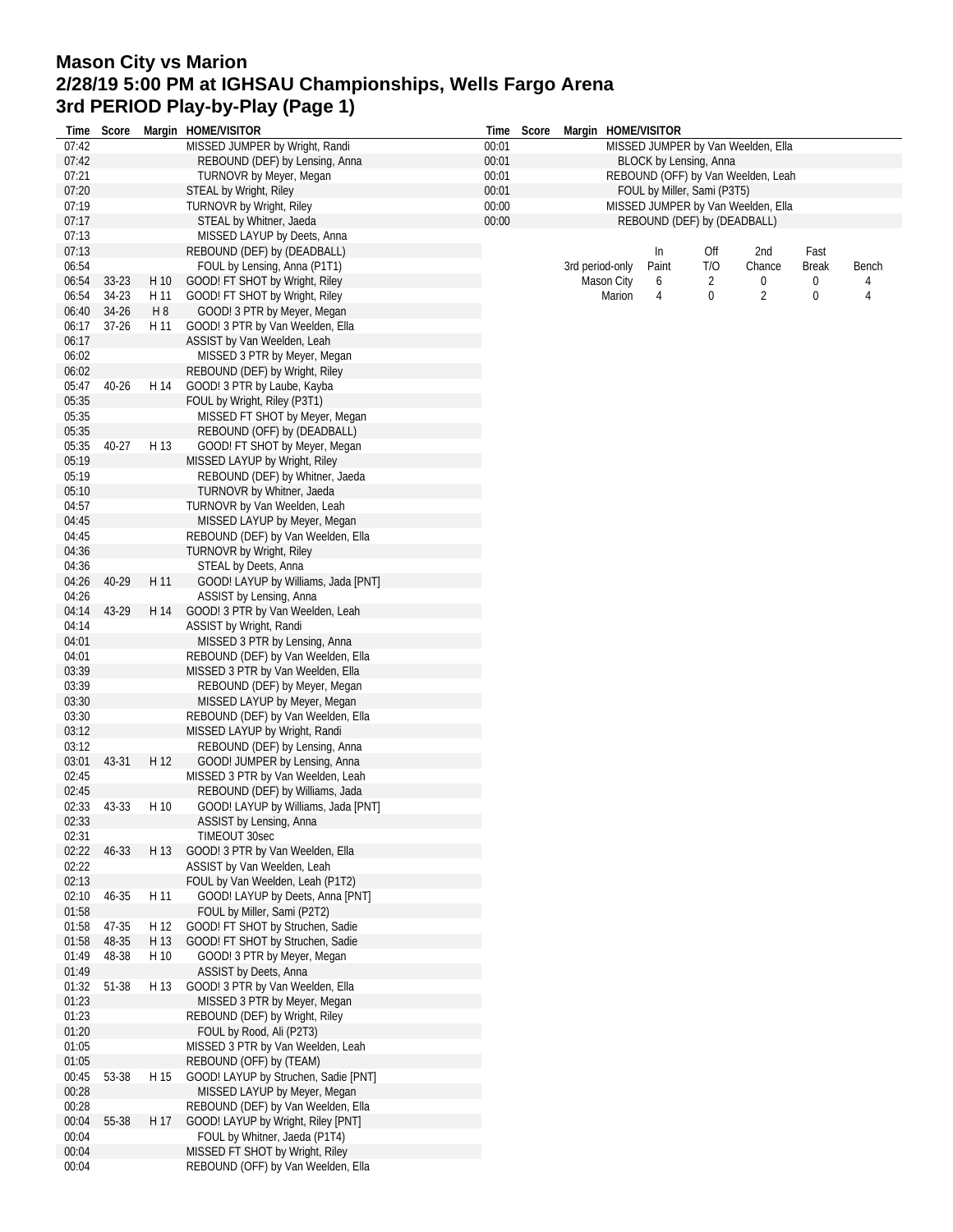## **Mason City vs Marion 2/28/19 5:00 PM at IGHSAU Championships, Wells Fargo Arena 3rd PERIOD Play-by-Play (Page 1)**

|                | Time Score |      | Margin HOME/VISITOR                                                   |                | Time Score<br>Margin HOME/VISITOR  |                                                                   |                 |       |                             |                                    |              |       |  |
|----------------|------------|------|-----------------------------------------------------------------------|----------------|------------------------------------|-------------------------------------------------------------------|-----------------|-------|-----------------------------|------------------------------------|--------------|-------|--|
| 07:42          |            |      | MISSED JUMPER by Wright, Randi                                        | 00:01          | MISSED JUMPER by Van Weelden, Ella |                                                                   |                 |       |                             |                                    |              |       |  |
| 07:42          |            |      | REBOUND (DEF) by Lensing, Anna                                        | 00:01          |                                    | BLOCK by Lensing, Anna                                            |                 |       |                             |                                    |              |       |  |
| 07:21          |            |      | <b>TURNOVR by Meyer, Megan</b>                                        | 00:01          |                                    | REBOUND (OFF) by Van Weelden, Leah<br>FOUL by Miller, Sami (P3T5) |                 |       |                             |                                    |              |       |  |
| 07:20          |            |      | <b>STEAL by Wright, Riley</b>                                         | 00:01          |                                    |                                                                   |                 |       |                             |                                    |              |       |  |
| 07:19<br>07:17 |            |      | <b>TURNOVR by Wright, Riley</b><br>STEAL by Whitner, Jaeda            | 00:00<br>00:00 |                                    |                                                                   |                 |       | REBOUND (DEF) by (DEADBALL) | MISSED JUMPER by Van Weelden, Ella |              |       |  |
| 07:13          |            |      | MISSED LAYUP by Deets, Anna                                           |                |                                    |                                                                   |                 |       |                             |                                    |              |       |  |
| 07:13          |            |      | REBOUND (DEF) by (DEADBALL)                                           |                |                                    |                                                                   |                 | In    | Off                         | 2nd                                | Fast         |       |  |
| 06:54          |            |      | FOUL by Lensing, Anna (P1T1)                                          |                |                                    |                                                                   | 3rd period-only | Paint | T/O                         | Chance                             | <b>Break</b> | Bench |  |
| 06:54          | 33-23      | H 10 | GOOD! FT SHOT by Wright, Riley                                        |                |                                    |                                                                   | Mason City      | 6     | 2                           | 0                                  | 0            | 4     |  |
| 06:54          | 34-23      | H 11 | GOOD! FT SHOT by Wright, Riley                                        |                |                                    |                                                                   | Marion          | 4     | 0                           | $\overline{2}$                     | 0            | 4     |  |
| 06:40          | 34-26      | H 8  | GOOD! 3 PTR by Meyer, Megan                                           |                |                                    |                                                                   |                 |       |                             |                                    |              |       |  |
| 06:17          | $37 - 26$  | H 11 | GOOD! 3 PTR by Van Weelden, Ella                                      |                |                                    |                                                                   |                 |       |                             |                                    |              |       |  |
| 06:17          |            |      | ASSIST by Van Weelden, Leah                                           |                |                                    |                                                                   |                 |       |                             |                                    |              |       |  |
| 06:02          |            |      | MISSED 3 PTR by Meyer, Megan                                          |                |                                    |                                                                   |                 |       |                             |                                    |              |       |  |
| 06:02<br>05:47 | $40 - 26$  | H 14 | REBOUND (DEF) by Wright, Riley<br>GOOD! 3 PTR by Laube, Kayba         |                |                                    |                                                                   |                 |       |                             |                                    |              |       |  |
| 05:35          |            |      | FOUL by Wright, Riley (P3T1)                                          |                |                                    |                                                                   |                 |       |                             |                                    |              |       |  |
| 05:35          |            |      | MISSED FT SHOT by Meyer, Megan                                        |                |                                    |                                                                   |                 |       |                             |                                    |              |       |  |
| 05:35          |            |      | REBOUND (OFF) by (DEADBALL)                                           |                |                                    |                                                                   |                 |       |                             |                                    |              |       |  |
| 05:35          | 40-27      | H 13 | GOOD! FT SHOT by Meyer, Megan                                         |                |                                    |                                                                   |                 |       |                             |                                    |              |       |  |
| 05:19          |            |      | MISSED LAYUP by Wright, Riley                                         |                |                                    |                                                                   |                 |       |                             |                                    |              |       |  |
| 05:19          |            |      | REBOUND (DEF) by Whitner, Jaeda                                       |                |                                    |                                                                   |                 |       |                             |                                    |              |       |  |
| 05:10          |            |      | TURNOVR by Whitner, Jaeda                                             |                |                                    |                                                                   |                 |       |                             |                                    |              |       |  |
| 04:57          |            |      | TURNOVR by Van Weelden, Leah                                          |                |                                    |                                                                   |                 |       |                             |                                    |              |       |  |
| 04:45          |            |      | MISSED LAYUP by Meyer, Megan                                          |                |                                    |                                                                   |                 |       |                             |                                    |              |       |  |
| 04:45<br>04:36 |            |      | REBOUND (DEF) by Van Weelden, Ella<br><b>TURNOVR by Wright, Riley</b> |                |                                    |                                                                   |                 |       |                             |                                    |              |       |  |
| 04:36          |            |      | STEAL by Deets, Anna                                                  |                |                                    |                                                                   |                 |       |                             |                                    |              |       |  |
| 04:26          | 40-29      | H 11 | GOOD! LAYUP by Williams, Jada [PNT]                                   |                |                                    |                                                                   |                 |       |                             |                                    |              |       |  |
| 04:26          |            |      | ASSIST by Lensing, Anna                                               |                |                                    |                                                                   |                 |       |                             |                                    |              |       |  |
| 04:14          | 43-29      | H 14 | GOOD! 3 PTR by Van Weelden, Leah                                      |                |                                    |                                                                   |                 |       |                             |                                    |              |       |  |
| 04:14          |            |      | ASSIST by Wright, Randi                                               |                |                                    |                                                                   |                 |       |                             |                                    |              |       |  |
| 04:01          |            |      | MISSED 3 PTR by Lensing, Anna                                         |                |                                    |                                                                   |                 |       |                             |                                    |              |       |  |
| 04:01          |            |      | REBOUND (DEF) by Van Weelden, Ella                                    |                |                                    |                                                                   |                 |       |                             |                                    |              |       |  |
| 03:39          |            |      | MISSED 3 PTR by Van Weelden, Ella                                     |                |                                    |                                                                   |                 |       |                             |                                    |              |       |  |
| 03:39<br>03:30 |            |      | REBOUND (DEF) by Meyer, Megan<br>MISSED LAYUP by Meyer, Megan         |                |                                    |                                                                   |                 |       |                             |                                    |              |       |  |
| 03:30          |            |      | REBOUND (DEF) by Van Weelden, Ella                                    |                |                                    |                                                                   |                 |       |                             |                                    |              |       |  |
| 03:12          |            |      | MISSED LAYUP by Wright, Randi                                         |                |                                    |                                                                   |                 |       |                             |                                    |              |       |  |
| 03:12          |            |      | REBOUND (DEF) by Lensing, Anna                                        |                |                                    |                                                                   |                 |       |                             |                                    |              |       |  |
| 03:01          | 43-31      | H 12 | GOOD! JUMPER by Lensing, Anna                                         |                |                                    |                                                                   |                 |       |                             |                                    |              |       |  |
| 02:45          |            |      | MISSED 3 PTR by Van Weelden, Leah                                     |                |                                    |                                                                   |                 |       |                             |                                    |              |       |  |
| 02:45          |            |      | REBOUND (DEF) by Williams, Jada                                       |                |                                    |                                                                   |                 |       |                             |                                    |              |       |  |
| 02:33          | 43-33      | H 10 | GOOD! LAYUP by Williams, Jada [PNT]                                   |                |                                    |                                                                   |                 |       |                             |                                    |              |       |  |
| 02:33<br>02:31 |            |      | ASSIST by Lensing, Anna<br>TIMEOUT 30sec                              |                |                                    |                                                                   |                 |       |                             |                                    |              |       |  |
| 02:22          | 46-33      | H 13 | GOOD! 3 PTR by Van Weelden, Ella                                      |                |                                    |                                                                   |                 |       |                             |                                    |              |       |  |
| 02:22          |            |      | ASSIST by Van Weelden, Leah                                           |                |                                    |                                                                   |                 |       |                             |                                    |              |       |  |
| 02:13          |            |      | FOUL by Van Weelden, Leah (P1T2)                                      |                |                                    |                                                                   |                 |       |                             |                                    |              |       |  |
| 02:10          | 46-35      | H 11 | GOOD! LAYUP by Deets, Anna [PNT]                                      |                |                                    |                                                                   |                 |       |                             |                                    |              |       |  |
| 01:58          |            |      | FOUL by Miller, Sami (P2T2)                                           |                |                                    |                                                                   |                 |       |                             |                                    |              |       |  |
| 01:58          | 47-35      | H 12 | GOOD! FT SHOT by Struchen, Sadie                                      |                |                                    |                                                                   |                 |       |                             |                                    |              |       |  |
| 01:58          | 48-35      | H 13 | GOOD! FT SHOT by Struchen, Sadie                                      |                |                                    |                                                                   |                 |       |                             |                                    |              |       |  |
| 01:49          | 48-38      | H 10 | GOOD! 3 PTR by Meyer, Megan                                           |                |                                    |                                                                   |                 |       |                             |                                    |              |       |  |
| 01:49<br>01:32 | 51-38      | H 13 | ASSIST by Deets, Anna<br>GOOD! 3 PTR by Van Weelden, Ella             |                |                                    |                                                                   |                 |       |                             |                                    |              |       |  |
| 01:23          |            |      | MISSED 3 PTR by Meyer, Megan                                          |                |                                    |                                                                   |                 |       |                             |                                    |              |       |  |
| 01:23          |            |      | REBOUND (DEF) by Wright, Riley                                        |                |                                    |                                                                   |                 |       |                             |                                    |              |       |  |
| 01:20          |            |      | FOUL by Rood, Ali (P2T3)                                              |                |                                    |                                                                   |                 |       |                             |                                    |              |       |  |
| 01:05          |            |      | MISSED 3 PTR by Van Weelden, Leah                                     |                |                                    |                                                                   |                 |       |                             |                                    |              |       |  |
| 01:05          |            |      | REBOUND (OFF) by (TEAM)                                               |                |                                    |                                                                   |                 |       |                             |                                    |              |       |  |
| 00:45          | 53-38      | H 15 | GOOD! LAYUP by Struchen, Sadie [PNT]                                  |                |                                    |                                                                   |                 |       |                             |                                    |              |       |  |
| 00:28          |            |      | MISSED LAYUP by Meyer, Megan                                          |                |                                    |                                                                   |                 |       |                             |                                    |              |       |  |
| 00:28          |            |      | REBOUND (DEF) by Van Weelden, Ella                                    |                |                                    |                                                                   |                 |       |                             |                                    |              |       |  |
| 00:04<br>00:04 | 55-38      | H 17 | GOOD! LAYUP by Wright, Riley [PNT]<br>FOUL by Whitner, Jaeda (P1T4)   |                |                                    |                                                                   |                 |       |                             |                                    |              |       |  |
| 00:04          |            |      | MISSED FT SHOT by Wright, Riley                                       |                |                                    |                                                                   |                 |       |                             |                                    |              |       |  |
| 00:04          |            |      | REBOUND (OFF) by Van Weelden, Ella                                    |                |                                    |                                                                   |                 |       |                             |                                    |              |       |  |
|                |            |      |                                                                       |                |                                    |                                                                   |                 |       |                             |                                    |              |       |  |